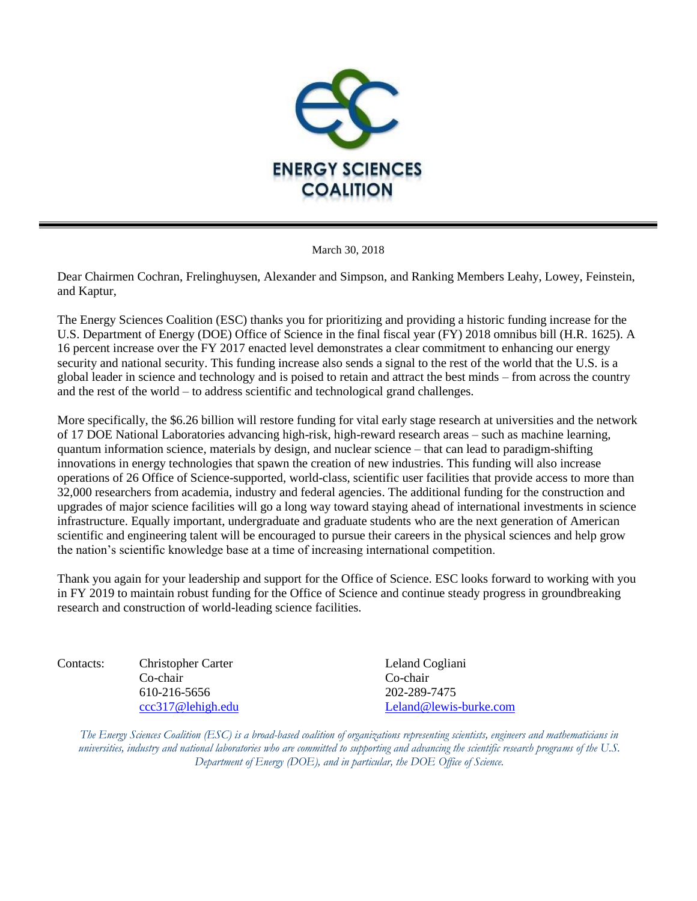

March 30, 2018

Dear Chairmen Cochran, Frelinghuysen, Alexander and Simpson, and Ranking Members Leahy, Lowey, Feinstein, and Kaptur,

The Energy Sciences Coalition (ESC) thanks you for prioritizing and providing a historic funding increase for the U.S. Department of Energy (DOE) Office of Science in the final fiscal year (FY) 2018 omnibus bill (H.R. 1625). A 16 percent increase over the FY 2017 enacted level demonstrates a clear commitment to enhancing our energy security and national security. This funding increase also sends a signal to the rest of the world that the U.S. is a global leader in science and technology and is poised to retain and attract the best minds – from across the country and the rest of the world – to address scientific and technological grand challenges.

More specifically, the \$6.26 billion will restore funding for vital early stage research at universities and the network of 17 DOE National Laboratories advancing high-risk, high-reward research areas – such as machine learning, quantum information science, materials by design, and nuclear science – that can lead to paradigm-shifting innovations in energy technologies that spawn the creation of new industries. This funding will also increase operations of 26 Office of Science-supported, world-class, scientific user facilities that provide access to more than 32,000 researchers from academia, industry and federal agencies. The additional funding for the construction and upgrades of major science facilities will go a long way toward staying ahead of international investments in science infrastructure. Equally important, undergraduate and graduate students who are the next generation of American scientific and engineering talent will be encouraged to pursue their careers in the physical sciences and help grow the nation's scientific knowledge base at a time of increasing international competition.

Thank you again for your leadership and support for the Office of Science. ESC looks forward to working with you in FY 2019 to maintain robust funding for the Office of Science and continue steady progress in groundbreaking research and construction of world-leading science facilities.

Contacts: Christopher Carter Leland Cogliani Co-chair Co-chair 610-216-5656 202-289-7475

[ccc317@lehigh.edu](mailto:ccc317@lehigh.edu) [Leland@lewis-burke.com](mailto:Leland@lewis-burke.com)

*The Energy Sciences Coalition (ESC) is a broad-based coalition of organizations representing scientists, engineers and mathematicians in universities, industry and national laboratories who are committed to supporting and advancing the scientific research programs of the U.S. Department of Energy (DOE), and in particular, the DOE Office of Science.*